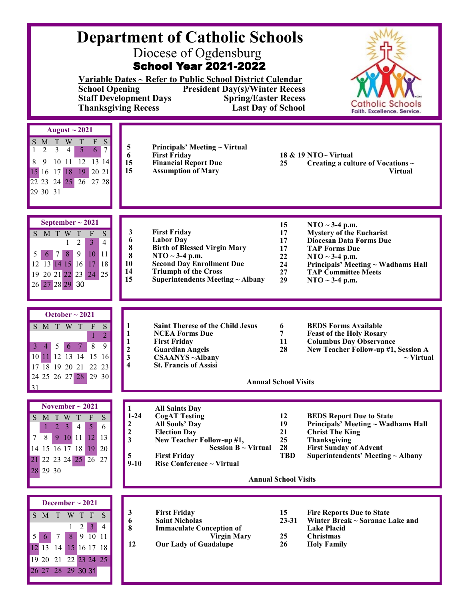| <b>Department of Catholic Schools</b><br>Diocese of Ogdensburg<br><b>School Year 2021-2022</b><br>Variable Dates ~ Refer to Public School District Calendar<br><b>School Opening</b><br><b>President Day(s)/Winter Recess</b><br><b>Staff Development Days</b><br><b>Spring/Easter Recess</b><br><b>Catholic Schools</b><br><b>Last Day of School</b><br><b>Thanksgiving Recess</b><br>Faith. Excellence. Service. |                                                                                                                                                                                                                                                                                                                                                                                                                                                                                                                                                   |  |  |  |  |  |
|--------------------------------------------------------------------------------------------------------------------------------------------------------------------------------------------------------------------------------------------------------------------------------------------------------------------------------------------------------------------------------------------------------------------|---------------------------------------------------------------------------------------------------------------------------------------------------------------------------------------------------------------------------------------------------------------------------------------------------------------------------------------------------------------------------------------------------------------------------------------------------------------------------------------------------------------------------------------------------|--|--|--|--|--|
| August $\sim$ 2021<br>W<br>$\ensuremath{\mathrm{T}}$<br>S<br>T<br>F<br>S<br>M<br>$\overline{2}$<br>3<br>$\overline{4}$<br>$\overline{5}$<br>6<br>$7\phantom{.0}$<br>10 11 12 13 14<br>8<br>9<br>18 19 20 21<br>15 16 17<br>22 23 24 25 26 27 28<br>29 30 31                                                                                                                                                        | 5<br>Principals' Meeting ~ Virtual<br>6<br><b>First Friday</b><br>18 & 19 NTO~ Virtual<br>15<br><b>Financial Report Due</b><br>25<br>Creating a culture of Vocations $\sim$<br>15<br><b>Assumption of Mary</b><br><b>Virtual</b>                                                                                                                                                                                                                                                                                                                  |  |  |  |  |  |
| September $\sim$ 2021<br>S M T W<br>$\overline{S}$<br>$\mathbf T$<br>${\bf F}$<br>$\mathfrak{Z}$<br>2<br>4<br>5<br>8<br>9<br>10<br>$ 11\rangle$<br>7<br>6<br>12 13 14 15 16<br> 18 <br>17<br>19 20 21 22 23 24 25<br>26 27 28 29 30                                                                                                                                                                                | 15<br>NTO $\sim$ 3-4 p.m.<br>3<br><b>First Friday</b><br><b>Mystery of the Eucharist</b><br>17<br>6<br><b>Labor Day</b><br><b>Diocesan Data Forms Due</b><br>17<br>8<br><b>Birth of Blessed Virgin Mary</b><br>17<br><b>TAP Forms Due</b><br>8<br>NTO $\sim$ 3-4 p.m.<br>22<br>NTO $\sim$ 3-4 p.m.<br>10<br><b>Second Day Enrollment Due</b><br>Principals' Meeting ~ Wadhams Hall<br>24<br>14<br><b>Triumph of the Cross</b><br>27<br><b>TAP Committee Meets</b><br>15<br>Superintendents Meeting ~ Albany<br>29<br>$\bf{NTO} \sim 3-4$ p.m.     |  |  |  |  |  |
| October $\sim$ 2021<br>S<br>S M T W T<br>$\mathbf{F}$<br>$\overline{2}$<br>8<br>9<br>5<br>-6<br>3<br>4<br>10 11 12 13 14 15 16<br>17 18 19 20 21 22 23<br>24 25 26 27 28 29 30<br>31                                                                                                                                                                                                                               | <b>Saint Therese of the Child Jesus</b><br><b>BEDS Forms Available</b><br>1<br>6<br>1<br>7<br><b>NCEA Forms Due</b><br><b>Feast of the Holy Rosary</b><br><b>Columbus Day Observance</b><br><b>First Friday</b><br>11<br>1<br>2<br><b>Guardian Angels</b><br>28<br>New Teacher Follow-up #1, Session A<br>3<br><b>CSAANYS</b> ~Albany<br>$\sim$ Virtual<br>4<br><b>St. Francis of Assisi</b><br><b>Annual School Visits</b>                                                                                                                       |  |  |  |  |  |
| November $\sim$ 2021<br>S M T W T<br>${\bf S}$<br>$\mathbf{F}$<br>$\overline{2}$<br>$\clubsuit$<br>$\mathfrak{S}$<br>$\overline{4}$<br>6<br>7<br>8<br>$10$ 11<br>$12 \mid 13$<br>$\bullet$<br>$14$ 15 $\overline{16}$ 17 18<br>$19$ 20<br>21 22 23 24 25 26 27<br>28 29 30                                                                                                                                         | <b>All Saints Day</b><br>1<br>$1 - 24$<br><b>CogAT Testing</b><br>12<br><b>BEDS Report Due to State</b><br><b>All Souls' Day</b><br>19<br>Principals' Meeting ~ Wadhams Hall<br>2<br>$\boldsymbol{2}$<br><b>Election Day</b><br>21<br><b>Christ The King</b><br>3<br>New Teacher Follow-up #1,<br>25<br>Thanksgiving<br>28<br>Session $B \sim Virtual$<br><b>First Sunday of Advent</b><br>5<br><b>First Friday</b><br><b>TBD</b><br>Superintendents' Meeting $\sim$ Albany<br>Rise Conference ~ Virtual<br>$9-10$<br><b>Annual School Visits</b> |  |  |  |  |  |
| December $\sim$ 2021<br>S M T W T F S<br>$2 \mid 3 \mid$<br>4<br>1<br>8<br>91011<br>7<br>5<br>6<br>$12$ 13 14<br>15 16 17 18<br>19 20 21 22 23 24 25<br>26 27 28 29 30 31                                                                                                                                                                                                                                          | <b>First Friday</b><br>15<br><b>Fire Reports Due to State</b><br>3<br>6<br><b>Saint Nicholas</b><br>$23 - 31$<br>Winter Break ~ Saranac Lake and<br>8<br><b>Immaculate Conception of</b><br><b>Lake Placid</b><br><b>Virgin Mary</b><br>25<br><b>Christmas</b><br>12<br>26<br><b>Our Lady of Guadalupe</b><br><b>Holy Family</b>                                                                                                                                                                                                                  |  |  |  |  |  |